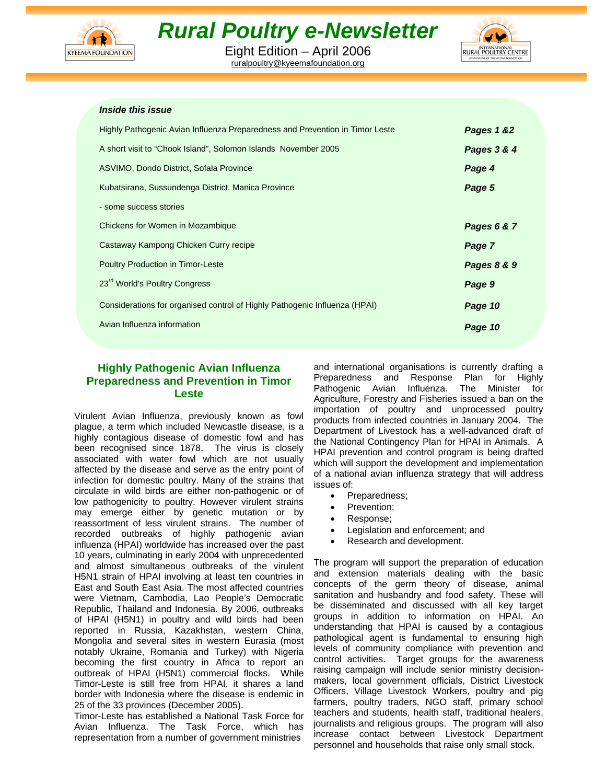

# *Rural Poultry e-Newsletter*

Eight Edition – April 2006 ruralpoultry@kyeemafoundation.org



#### *Inside this issue*

| Highly Pathogenic Avian Influenza Preparedness and Prevention in Timor Leste | Pages 1 &2  |
|------------------------------------------------------------------------------|-------------|
| A short visit to "Chook Island", Solomon Islands November 2005               | Pages 3 & 4 |
| ASVIMO, Dondo District, Sofala Province                                      | Page 4      |
| Kubatsirana, Sussundenga District, Manica Province                           | Page 5      |
| - some success stories                                                       |             |
| Chickens for Women in Mozambique                                             | Pages 6 & 7 |
| Castaway Kampong Chicken Curry recipe                                        | Page 7      |
| <b>Poultry Production in Timor-Leste</b>                                     | Pages 8 & 9 |
| 23 <sup>rd</sup> World's Poultry Congress                                    | Page 9      |
| Considerations for organised control of Highly Pathogenic Influenza (HPAI)   | Page 10     |
| Avian Influenza information                                                  | Page 10     |
|                                                                              |             |

## **Highly Pathogenic Avian Influenza Preparedness and Prevention in Timor Leste**

Virulent Avian Influenza, previously known as fowl plague, a term which included Newcastle disease, is a highly contagious disease of domestic fowl and has been recognised since 1878. The virus is closely associated with water fowl which are not usually affected by the disease and serve as the entry point of infection for domestic poultry. Many of the strains that circulate in wild birds are either non-pathogenic or of low pathogenicity to poultry. However virulent strains may emerge either by genetic mutation or by reassortment of less virulent strains. The number of recorded outbreaks of highly pathogenic avian influenza (HPAI) worldwide has increased over the past 10 years, culminating in early 2004 with unprecedented and almost simultaneous outbreaks of the virulent H5N1 strain of HPAI involving at least ten countries in East and South East Asia. The most affected countries were Vietnam, Cambodia, Lao People's Democratic Republic, Thailand and Indonesia. By 2006, outbreaks of HPAI (H5N1) in poultry and wild birds had been reported in Russia, Kazakhstan, western China, Mongolia and several sites in western Eurasia (most notably Ukraine, Romania and Turkey) with Nigeria becoming the first country in Africa to report an outbreak of HPAI (H5N1) commercial flocks. While Timor-Leste is still free from HPAI, it shares a land border with Indonesia where the disease is endemic in 25 of the 33 provinces (December 2005).

Timor-Leste has established a National Task Force for Avian Influenza. The Task Force, which has representation from a number of government ministries

and international organisations is currently drafting a Preparedness and Response Plan for Highly Pathogenic Avian Influenza. The Minister for Agriculture, Forestry and Fisheries issued a ban on the importation of poultry and unprocessed poultry products from infected countries in January 2004. The Department of Livestock has a well-advanced draft of the National Contingency Plan for HPAI in Animals. A HPAI prevention and control program is being drafted which will support the development and implementation of a national avian influenza strategy that will address issues of:

- Preparedness;
- Prevention;
- Response;
- Legislation and enforcement; and
- Research and development.

The program will support the preparation of education and extension materials dealing with the basic concepts of the germ theory of disease, animal sanitation and husbandry and food safety. These will be disseminated and discussed with all key target groups in addition to information on HPAI. An understanding that HPAI is caused by a contagious pathological agent is fundamental to ensuring high levels of community compliance with prevention and control activities. Target groups for the awareness raising campaign will include senior ministry decisionmakers, local government officials, District Livestock Officers, Village Livestock Workers, poultry and pig farmers, poultry traders, NGO staff, primary school teachers and students, health staff, traditional healers, journalists and religious groups. The program will also increase contact between Livestock Department personnel and households that raise only small stock.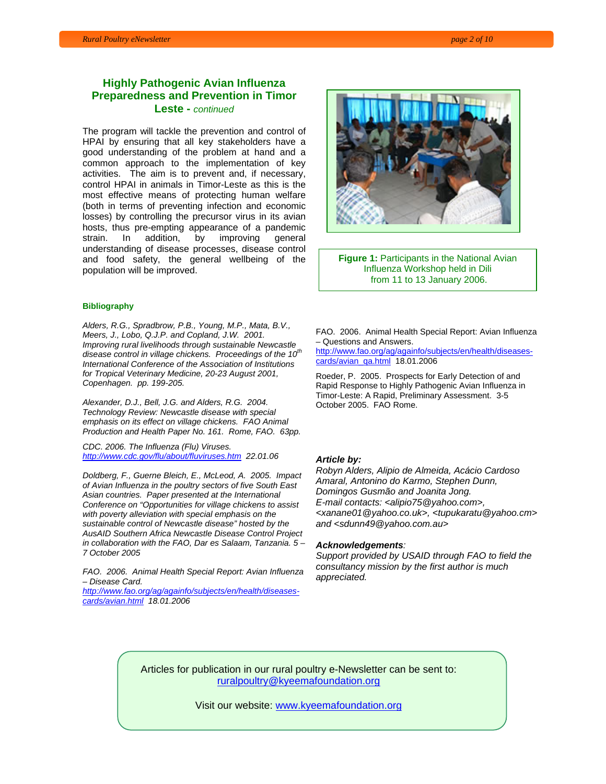## **Highly Pathogenic Avian Influenza Preparedness and Prevention in Timor Leste -** *continued*

The program will tackle the prevention and control of HPAI by ensuring that all key stakeholders have a good understanding of the problem at hand and a common approach to the implementation of key activities. The aim is to prevent and, if necessary, control HPAI in animals in Timor-Leste as this is the most effective means of protecting human welfare (both in terms of preventing infection and economic losses) by controlling the precursor virus in its avian hosts, thus pre-empting appearance of a pandemic strain. In addition, by improving general understanding of disease processes, disease control and food safety, the general wellbeing of the population will be improved.

#### **Bibliography**

*Alders, R.G., Spradbrow, P.B., Young, M.P., Mata, B.V., Meers, J., Lobo, Q.J.P. and Copland, J.W. 2001. Improving rural livelihoods through sustainable Newcastle disease control in village chickens. Proceedings of the 10th International Conference of the Association of Institutions for Tropical Veterinary Medicine, 20-23 August 2001, Copenhagen. pp. 199-205.* 

*Alexander, D.J., Bell, J.G. and Alders, R.G. 2004. Technology Review: Newcastle disease with special emphasis on its effect on village chickens. FAO Animal Production and Health Paper No. 161. Rome, FAO. 63pp.* 

*CDC. 2006. The Influenza (Flu) Viruses. http://www.cdc.gov/flu/about/fluviruses.htm 22.01.06* 

*Doldberg, F., Guerne Bleich, E., McLeod, A. 2005. Impact of Avian Influenza in the poultry sectors of five South East Asian countries. Paper presented at the International Conference on "Opportunities for village chickens to assist with poverty alleviation with special emphasis on the sustainable control of Newcastle disease" hosted by the AusAID Southern Africa Newcastle Disease Control Project in collaboration with the FAO, Dar es Salaam, Tanzania. 5 – 7 October 2005* 

*FAO. 2006. Animal Health Special Report: Avian Influenza – Disease Card.* 

*http://www.fao.org/ag/againfo/subjects/en/health/diseasescards/avian.html 18.01.2006* 



**Figure 1:** Participants in the National Avian Influenza Workshop held in Dili from 11 to 13 January 2006.

FAO. 2006. Animal Health Special Report: Avian Influenza – Questions and Answers.

http://www.fao.org/ag/againfo/subjects/en/health/diseasescards/avian\_qa.html 18.01.2006

Roeder, P. 2005. Prospects for Early Detection of and Rapid Response to Highly Pathogenic Avian Influenza in Timor-Leste: A Rapid, Preliminary Assessment. 3-5 October 2005. FAO Rome.

#### *Article by:*

*Robyn Alders, Alipio de Almeida, Acácio Cardoso Amaral, Antonino do Karmo, Stephen Dunn, Domingos Gusmão and Joanita Jong. E-mail contacts: <alipio75@yahoo.com>, <xanane01@yahoo.co.uk>, <tupukaratu@yahoo.cm> and <sdunn49@yahoo.com.au>* 

#### *Acknowledgements:*

*Support provided by USAID through FAO to field the consultancy mission by the first author is much appreciated.* 

Articles for publication in our rural poultry e-Newsletter can be sent to: ruralpoultry@kyeemafoundation.org

Visit our website: www.kyeemafoundation.org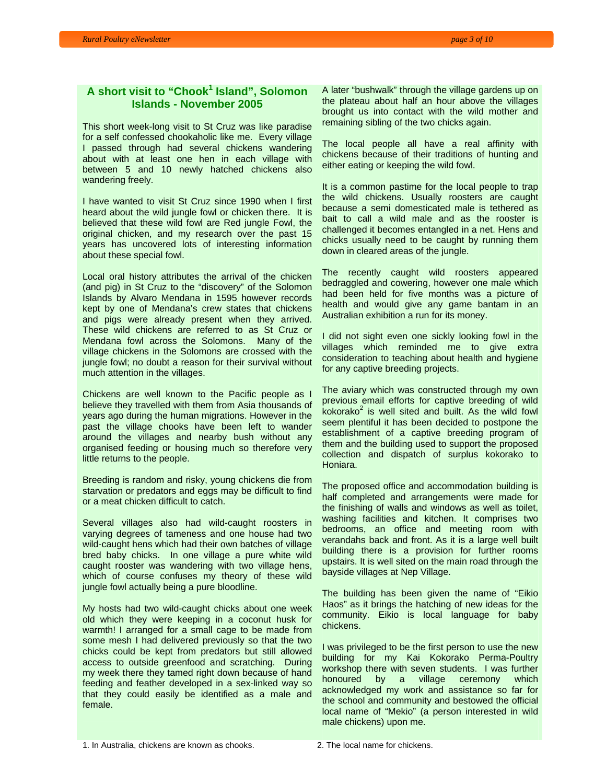# **A short visit to "Chook<sup>1</sup> Island", Solomon Islands - November 2005**

This short week-long visit to St Cruz was like paradise for a self confessed chookaholic like me. Every village I passed through had several chickens wandering about with at least one hen in each village with between 5 and 10 newly hatched chickens also wandering freely.

I have wanted to visit St Cruz since 1990 when I first heard about the wild jungle fowl or chicken there. It is believed that these wild fowl are Red jungle Fowl, the original chicken, and my research over the past 15 years has uncovered lots of interesting information about these special fowl.

Local oral history attributes the arrival of the chicken (and pig) in St Cruz to the "discovery" of the Solomon Islands by Alvaro Mendana in 1595 however records kept by one of Mendana's crew states that chickens and pigs were already present when they arrived. These wild chickens are referred to as St Cruz or Mendana fowl across the Solomons. Many of the village chickens in the Solomons are crossed with the jungle fowl; no doubt a reason for their survival without much attention in the villages.

Chickens are well known to the Pacific people as I believe they travelled with them from Asia thousands of years ago during the human migrations. However in the past the village chooks have been left to wander around the villages and nearby bush without any organised feeding or housing much so therefore very little returns to the people.

Breeding is random and risky, young chickens die from starvation or predators and eggs may be difficult to find or a meat chicken difficult to catch.

Several villages also had wild-caught roosters in varying degrees of tameness and one house had two wild-caught hens which had their own batches of village bred baby chicks. In one village a pure white wild caught rooster was wandering with two village hens, which of course confuses my theory of these wild jungle fowl actually being a pure bloodline.

My hosts had two wild-caught chicks about one week old which they were keeping in a coconut husk for warmth! I arranged for a small cage to be made from some mesh I had delivered previously so that the two chicks could be kept from predators but still allowed access to outside greenfood and scratching. During my week there they tamed right down because of hand feeding and feather developed in a sex-linked way so that they could easily be identified as a male and female.

A later "bushwalk" through the village gardens up on the plateau about half an hour above the villages brought us into contact with the wild mother and remaining sibling of the two chicks again.

The local people all have a real affinity with chickens because of their traditions of hunting and either eating or keeping the wild fowl.

It is a common pastime for the local people to trap the wild chickens. Usually roosters are caught because a semi domesticated male is tethered as bait to call a wild male and as the rooster is challenged it becomes entangled in a net. Hens and chicks usually need to be caught by running them down in cleared areas of the jungle.

The recently caught wild roosters appeared bedraggled and cowering, however one male which had been held for five months was a picture of health and would give any game bantam in an Australian exhibition a run for its money.

I did not sight even one sickly looking fowl in the villages which reminded me to give extra consideration to teaching about health and hygiene for any captive breeding projects.

The aviary which was constructed through my own previous email efforts for captive breeding of wild  $k$ okorako<sup>2</sup> is well sited and built. As the wild fowl seem plentiful it has been decided to postpone the establishment of a captive breeding program of them and the building used to support the proposed collection and dispatch of surplus kokorako to Honiara.

The proposed office and accommodation building is half completed and arrangements were made for the finishing of walls and windows as well as toilet, washing facilities and kitchen. It comprises two bedrooms, an office and meeting room with verandahs back and front. As it is a large well built building there is a provision for further rooms upstairs. It is well sited on the main road through the bayside villages at Nep Village.

The building has been given the name of "Eikio Haos" as it brings the hatching of new ideas for the community. Eikio is local language for baby chickens.

I was privileged to be the first person to use the new building for my Kai Kokorako Perma-Poultry workshop there with seven students. I was further honoured by a village ceremony which acknowledged my work and assistance so far for the school and community and bestowed the official local name of "Mekio" (a person interested in wild male chickens) upon me.

1. In Australia, chickens are known as chooks. 2. The local name for chickens.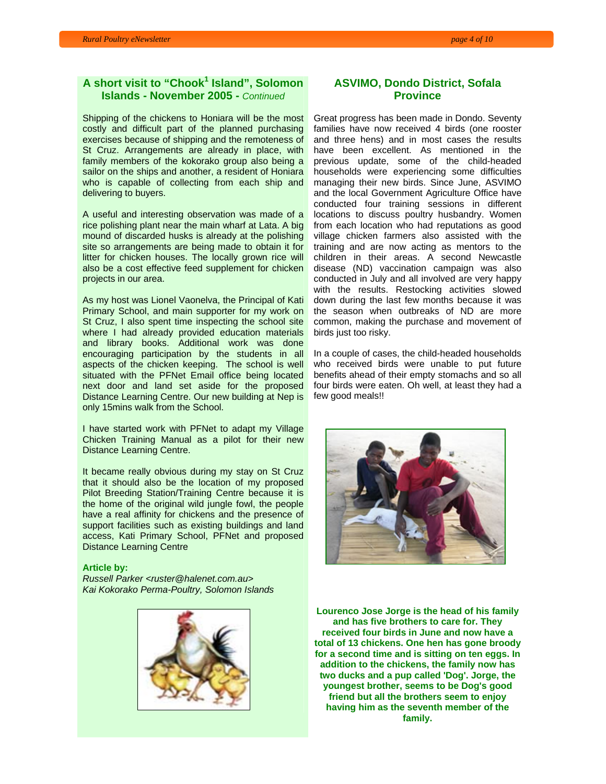## **A** short visit to "Chook<sup>1</sup> Island", Solomon **Islands - November 2005 -** *Continued*

Shipping of the chickens to Honiara will be the most costly and difficult part of the planned purchasing exercises because of shipping and the remoteness of St Cruz. Arrangements are already in place, with family members of the kokorako group also being a sailor on the ships and another, a resident of Honiara who is capable of collecting from each ship and delivering to buyers.

A useful and interesting observation was made of a rice polishing plant near the main wharf at Lata. A big mound of discarded husks is already at the polishing site so arrangements are being made to obtain it for litter for chicken houses. The locally grown rice will also be a cost effective feed supplement for chicken projects in our area.

As my host was Lionel Vaonelva, the Principal of Kati Primary School, and main supporter for my work on St Cruz, I also spent time inspecting the school site where I had already provided education materials and library books. Additional work was done encouraging participation by the students in all aspects of the chicken keeping. The school is well situated with the PFNet Email office being located next door and land set aside for the proposed Distance Learning Centre. Our new building at Nep is only 15mins walk from the School.

I have started work with PFNet to adapt my Village Chicken Training Manual as a pilot for their new Distance Learning Centre.

It became really obvious during my stay on St Cruz that it should also be the location of my proposed Pilot Breeding Station/Training Centre because it is the home of the original wild jungle fowl, the people have a real affinity for chickens and the presence of support facilities such as existing buildings and land access, Kati Primary School, PFNet and proposed Distance Learning Centre

#### **Article by:**

*Russell Parker <ruster@halenet.com.au> Kai Kokorako Perma-Poultry, Solomon Islands* 



## **ASVIMO, Dondo District, Sofala Province**

Great progress has been made in Dondo. Seventy families have now received 4 birds (one rooster and three hens) and in most cases the results have been excellent. As mentioned in the previous update, some of the child-headed households were experiencing some difficulties managing their new birds. Since June, ASVIMO and the local Government Agriculture Office have conducted four training sessions in different locations to discuss poultry husbandry. Women from each location who had reputations as good village chicken farmers also assisted with the training and are now acting as mentors to the children in their areas. A second Newcastle disease (ND) vaccination campaign was also conducted in July and all involved are very happy with the results. Restocking activities slowed down during the last few months because it was the season when outbreaks of ND are more common, making the purchase and movement of birds just too risky.

In a couple of cases, the child-headed households who received birds were unable to put future benefits ahead of their empty stomachs and so all four birds were eaten. Oh well, at least they had a few good meals!!



**Lourenco Jose Jorge is the head of his family and has five brothers to care for. They received four birds in June and now have a total of 13 chickens. One hen has gone broody for a second time and is sitting on ten eggs. In addition to the chickens, the family now has two ducks and a pup called 'Dog'. Jorge, the youngest brother, seems to be Dog's good friend but all the brothers seem to enjoy having him as the seventh member of the family.**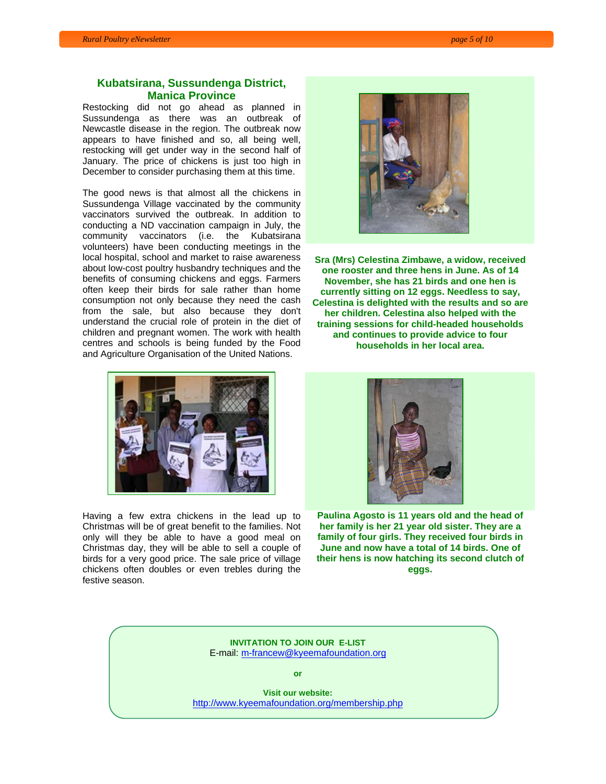### **Kubatsirana, Sussundenga District, Manica Province**

Restocking did not go ahead as planned in Sussundenga as there was an outbreak of Newcastle disease in the region. The outbreak now appears to have finished and so, all being well, restocking will get under way in the second half of January. The price of chickens is just too high in December to consider purchasing them at this time.

The good news is that almost all the chickens in Sussundenga Village vaccinated by the community vaccinators survived the outbreak. In addition to conducting a ND vaccination campaign in July, the community vaccinators (i.e. the Kubatsirana volunteers) have been conducting meetings in the local hospital, school and market to raise awareness about low-cost poultry husbandry techniques and the benefits of consuming chickens and eggs. Farmers often keep their birds for sale rather than home consumption not only because they need the cash from the sale, but also because they don't understand the crucial role of protein in the diet of children and pregnant women. The work with health centres and schools is being funded by the Food and Agriculture Organisation of the United Nations.



**Sra (Mrs) Celestina Zimbawe, a widow, received one rooster and three hens in June. As of 14 November, she has 21 birds and one hen is currently sitting on 12 eggs. Needless to say, Celestina is delighted with the results and so are her children. Celestina also helped with the training sessions for child-headed households and continues to provide advice to four households in her local area.** 



Having a few extra chickens in the lead up to Christmas will be of great benefit to the families. Not only will they be able to have a good meal on Christmas day, they will be able to sell a couple of birds for a very good price. The sale price of village chickens often doubles or even trebles during the festive season.



**Paulina Agosto is 11 years old and the head of her family is her 21 year old sister. They are a family of four girls. They received four birds in June and now have a total of 14 birds. One of their hens is now hatching its second clutch of eggs.** 

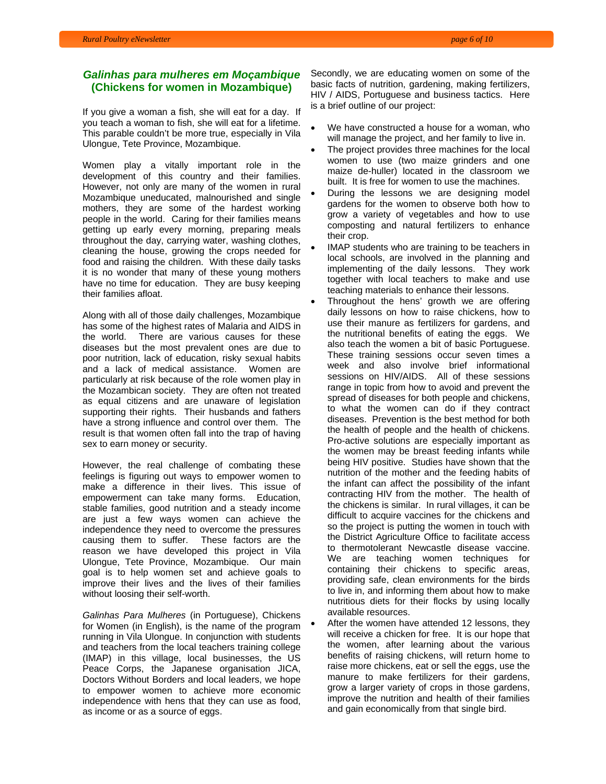## *Galinhas para mulheres em Moçambique* **(Chickens for women in Mozambique)**

If you give a woman a fish, she will eat for a day. If you teach a woman to fish, she will eat for a lifetime. This parable couldn't be more true, especially in Vila Ulongue, Tete Province, Mozambique.

Women play a vitally important role in the development of this country and their families. However, not only are many of the women in rural Mozambique uneducated, malnourished and single mothers, they are some of the hardest working people in the world. Caring for their families means getting up early every morning, preparing meals throughout the day, carrying water, washing clothes, cleaning the house, growing the crops needed for food and raising the children. With these daily tasks it is no wonder that many of these young mothers have no time for education. They are busy keeping their families afloat.

Along with all of those daily challenges, Mozambique has some of the highest rates of Malaria and AIDS in the world. There are various causes for these diseases but the most prevalent ones are due to poor nutrition, lack of education, risky sexual habits and a lack of medical assistance. Women are particularly at risk because of the role women play in the Mozambican society. They are often not treated as equal citizens and are unaware of legislation supporting their rights. Their husbands and fathers have a strong influence and control over them. The result is that women often fall into the trap of having sex to earn money or security.

However, the real challenge of combating these feelings is figuring out ways to empower women to make a difference in their lives. This issue of empowerment can take many forms. Education, stable families, good nutrition and a steady income are just a few ways women can achieve the independence they need to overcome the pressures causing them to suffer. These factors are the reason we have developed this project in Vila Ulongue, Tete Province, Mozambique. Our main goal is to help women set and achieve goals to improve their lives and the lives of their families without loosing their self-worth.

*Galinhas Para Mulheres* (in Portuguese), Chickens for Women (in English), is the name of the program running in Vila Ulongue. In conjunction with students and teachers from the local teachers training college (IMAP) in this village, local businesses, the US Peace Corps, the Japanese organisation JICA, Doctors Without Borders and local leaders, we hope to empower women to achieve more economic independence with hens that they can use as food, as income or as a source of eggs.

Secondly, we are educating women on some of the basic facts of nutrition, gardening, making fertilizers, HIV / AIDS, Portuguese and business tactics. Here is a brief outline of our project:

- We have constructed a house for a woman, who will manage the project, and her family to live in.
- The project provides three machines for the local women to use (two maize grinders and one maize de-huller) located in the classroom we built. It is free for women to use the machines.
- During the lessons we are designing model gardens for the women to observe both how to grow a variety of vegetables and how to use composting and natural fertilizers to enhance their crop.
- IMAP students who are training to be teachers in local schools, are involved in the planning and implementing of the daily lessons. They work together with local teachers to make and use teaching materials to enhance their lessons.
- Throughout the hens' growth we are offering daily lessons on how to raise chickens, how to use their manure as fertilizers for gardens, and the nutritional benefits of eating the eggs. We also teach the women a bit of basic Portuguese. These training sessions occur seven times a week and also involve brief informational sessions on HIV/AIDS. All of these sessions range in topic from how to avoid and prevent the spread of diseases for both people and chickens, to what the women can do if they contract diseases. Prevention is the best method for both the health of people and the health of chickens. Pro-active solutions are especially important as the women may be breast feeding infants while being HIV positive. Studies have shown that the nutrition of the mother and the feeding habits of the infant can affect the possibility of the infant contracting HIV from the mother. The health of the chickens is similar. In rural villages, it can be difficult to acquire vaccines for the chickens and so the project is putting the women in touch with the District Agriculture Office to facilitate access to thermotolerant Newcastle disease vaccine. We are teaching women techniques for containing their chickens to specific areas, providing safe, clean environments for the birds to live in, and informing them about how to make nutritious diets for their flocks by using locally available resources.
- After the women have attended 12 lessons, they will receive a chicken for free. It is our hope that the women, after learning about the various benefits of raising chickens, will return home to raise more chickens, eat or sell the eggs, use the manure to make fertilizers for their gardens, grow a larger variety of crops in those gardens, improve the nutrition and health of their families and gain economically from that single bird.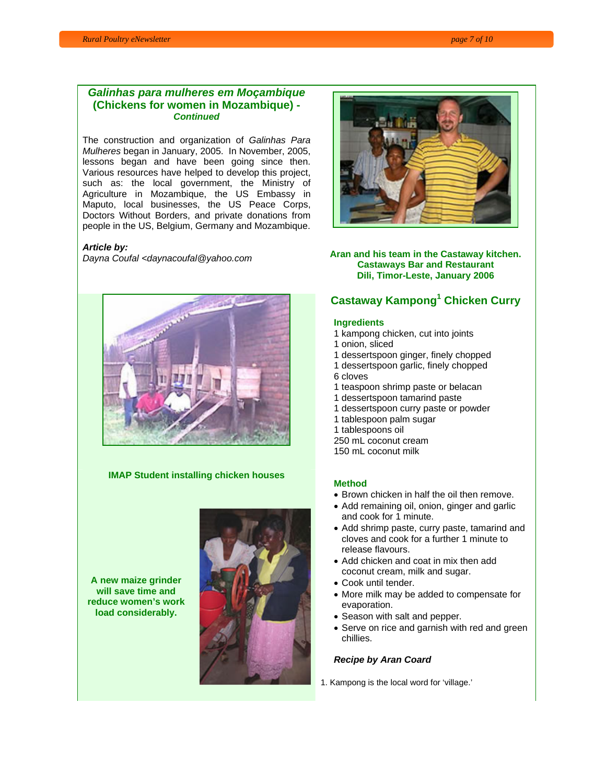## *Galinhas para mulheres em Moçambique* **(Chickens for women in Mozambique) -**  *Continued*

The construction and organization of *Galinhas Para Mulheres* began in January, 2005. In November, 2005, lessons began and have been going since then. Various resources have helped to develop this project, such as: the local government, the Ministry of Agriculture in Mozambique, the US Embassy in Maputo, local businesses, the US Peace Corps, Doctors Without Borders, and private donations from people in the US, Belgium, Germany and Mozambique.

#### *Article by:*



#### **IMAP Student installing chicken houses**

**A new maize grinder will save time and reduce women's work load considerably.**





*Dayna Coufal <daynacoufal@yahoo.com* **Aran and his team in the Castaway kitchen. Castaways Bar and Restaurant Dili, Timor-Leste, January 2006** 

# **Castaway Kampong1 Chicken Curry**

#### **Ingredients**

- 1 kampong chicken, cut into joints
- 1 onion, sliced
- 1 dessertspoon ginger, finely chopped
- 1 dessertspoon garlic, finely chopped
- 6 cloves
- 1 teaspoon shrimp paste or belacan
- 1 dessertspoon tamarind paste
- 1 dessertspoon curry paste or powder
- 1 tablespoon palm sugar
- 1 tablespoons oil
- 250 mL coconut cream
- 150 mL coconut milk

## **Method**

- Brown chicken in half the oil then remove.
- Add remaining oil, onion, ginger and garlic and cook for 1 minute.
- Add shrimp paste, curry paste, tamarind and cloves and cook for a further 1 minute to release flavours.
- Add chicken and coat in mix then add coconut cream, milk and sugar.
- Cook until tender.
- More milk may be added to compensate for evaporation.
- Season with salt and pepper.
- Serve on rice and garnish with red and green chillies.

## *Recipe by Aran Coard*

1. Kampong is the local word for 'village.'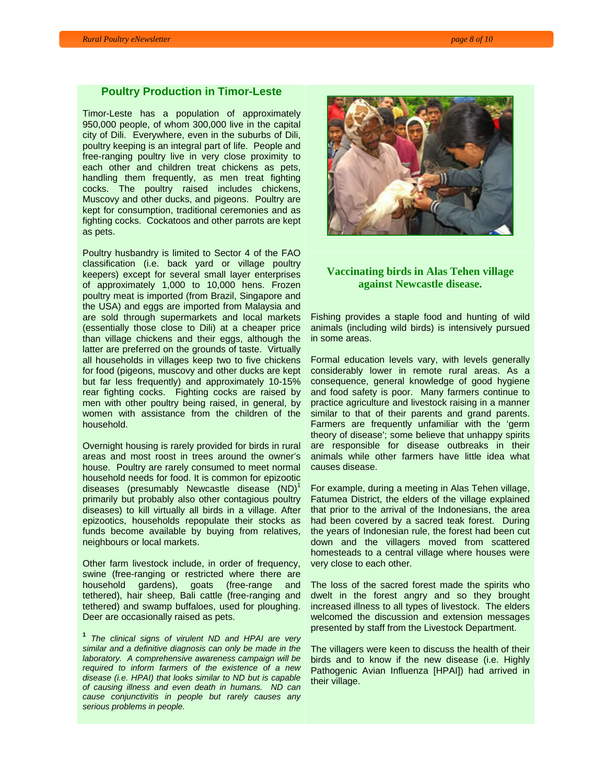#### **Poultry Production in Timor-Leste**

Timor-Leste has a population of approximately 950,000 people, of whom 300,000 live in the capital city of Dili. Everywhere, even in the suburbs of Dili, poultry keeping is an integral part of life. People and free-ranging poultry live in very close proximity to each other and children treat chickens as pets, handling them frequently, as men treat fighting cocks. The poultry raised includes chickens, Muscovy and other ducks, and pigeons. Poultry are kept for consumption, traditional ceremonies and as fighting cocks. Cockatoos and other parrots are kept as pets.

Poultry husbandry is limited to Sector 4 of the FAO classification (i.e. back yard or village poultry keepers) except for several small layer enterprises of approximately 1,000 to 10,000 hens. Frozen poultry meat is imported (from Brazil, Singapore and the USA) and eggs are imported from Malaysia and are sold through supermarkets and local markets (essentially those close to Dili) at a cheaper price than village chickens and their eggs, although the latter are preferred on the grounds of taste. Virtually all households in villages keep two to five chickens for food (pigeons, muscovy and other ducks are kept but far less frequently) and approximately 10-15% rear fighting cocks. Fighting cocks are raised by men with other poultry being raised, in general, by women with assistance from the children of the household.

Overnight housing is rarely provided for birds in rural areas and most roost in trees around the owner's house. Poultry are rarely consumed to meet normal household needs for food. It is common for epizootic diseases (presumably Newcastle disease  $(ND)^1$ primarily but probably also other contagious poultry diseases) to kill virtually all birds in a village. After epizootics, households repopulate their stocks as funds become available by buying from relatives, neighbours or local markets.

Other farm livestock include, in order of frequency, swine (free-ranging or restricted where there are household gardens), goats (free-range and tethered), hair sheep, Bali cattle (free-ranging and tethered) and swamp buffaloes, used for ploughing. Deer are occasionally raised as pets.

**<sup>1</sup>** *The clinical signs of virulent ND and HPAI are very similar and a definitive diagnosis can only be made in the laboratory. A comprehensive awareness campaign will be required to inform farmers of the existence of a new disease (i.e. HPAI) that looks similar to ND but is capable of causing illness and even death in humans. ND can cause conjunctivitis in people but rarely causes any serious problems in people.*



## **Vaccinating birds in Alas Tehen village against Newcastle disease.**

Fishing provides a staple food and hunting of wild animals (including wild birds) is intensively pursued in some areas.

Formal education levels vary, with levels generally considerably lower in remote rural areas. As a consequence, general knowledge of good hygiene and food safety is poor. Many farmers continue to practice agriculture and livestock raising in a manner similar to that of their parents and grand parents. Farmers are frequently unfamiliar with the 'germ theory of disease'; some believe that unhappy spirits are responsible for disease outbreaks in their animals while other farmers have little idea what causes disease.

For example, during a meeting in Alas Tehen village, Fatumea District, the elders of the village explained that prior to the arrival of the Indonesians, the area had been covered by a sacred teak forest. During the years of Indonesian rule, the forest had been cut down and the villagers moved from scattered homesteads to a central village where houses were very close to each other.

The loss of the sacred forest made the spirits who dwelt in the forest angry and so they brought increased illness to all types of livestock. The elders welcomed the discussion and extension messages presented by staff from the Livestock Department.

The villagers were keen to discuss the health of their birds and to know if the new disease (i.e. Highly Pathogenic Avian Influenza [HPAI]) had arrived in their village.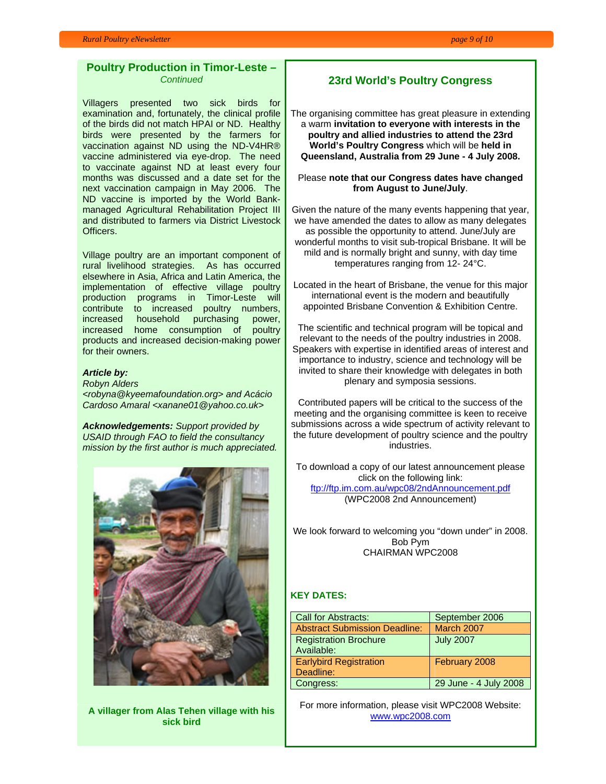#### **Poultry Production in Timor-Leste –**  *Continued*

Villagers presented two sick birds for examination and, fortunately, the clinical profile of the birds did not match HPAI or ND. Healthy birds were presented by the farmers for vaccination against ND using the ND-V4HR® vaccine administered via eye-drop. The need to vaccinate against ND at least every four months was discussed and a date set for the next vaccination campaign in May 2006. The ND vaccine is imported by the World Bankmanaged Agricultural Rehabilitation Project III and distributed to farmers via District Livestock Officers.

Village poultry are an important component of rural livelihood strategies. As has occurred elsewhere in Asia, Africa and Latin America, the implementation of effective village poultry production programs in Timor-Leste will contribute to increased poultry numbers, increased household purchasing power, increased home consumption of poultry products and increased decision-making power for their owners.

## *Article by:*

*Robyn Alders <robyna@kyeemafoundation.org> and Acácio Cardoso Amaral <xanane01@yahoo.co.uk>* 

*Acknowledgements: Support provided by USAID through FAO to field the consultancy mission by the first author is much appreciated.* 



**A villager from Alas Tehen village with his sick bird** 

## **23rd World's Poultry Congress**

The organising committee has great pleasure in extending a warm **invitation to everyone with interests in the poultry and allied industries to attend the 23rd World's Poultry Congress** which will be **held in Queensland, Australia from 29 June - 4 July 2008.** 

#### Please **note that our Congress dates have changed from August to June/July**.

Given the nature of the many events happening that year, we have amended the dates to allow as many delegates as possible the opportunity to attend. June/July are wonderful months to visit sub-tropical Brisbane. It will be mild and is normally bright and sunny, with day time temperatures ranging from 12- 24°C.

Located in the heart of Brisbane, the venue for this major international event is the modern and beautifully appointed Brisbane Convention & Exhibition Centre.

The scientific and technical program will be topical and relevant to the needs of the poultry industries in 2008. Speakers with expertise in identified areas of interest and importance to industry, science and technology will be invited to share their knowledge with delegates in both plenary and symposia sessions.

Contributed papers will be critical to the success of the meeting and the organising committee is keen to receive submissions across a wide spectrum of activity relevant to the future development of poultry science and the poultry industries.

To download a copy of our latest announcement please click on the following link: ftp://ftp.im.com.au/wpc08/2ndAnnouncement.pdf (WPC2008 2nd Announcement)

We look forward to welcoming you "down under" in 2008. Bob Pym CHAIRMAN WPC2008

## **KEY DATES:**

| Call for Abstracts:                  | September 2006        |
|--------------------------------------|-----------------------|
| <b>Abstract Submission Deadline:</b> | <b>March 2007</b>     |
| <b>Registration Brochure</b>         | <b>July 2007</b>      |
| Available:                           |                       |
| <b>Earlybird Registration</b>        | February 2008         |
| Deadline:                            |                       |
| Congress:                            | 29 June - 4 July 2008 |

For more information, please visit WPC2008 Website: www.wpc2008.com